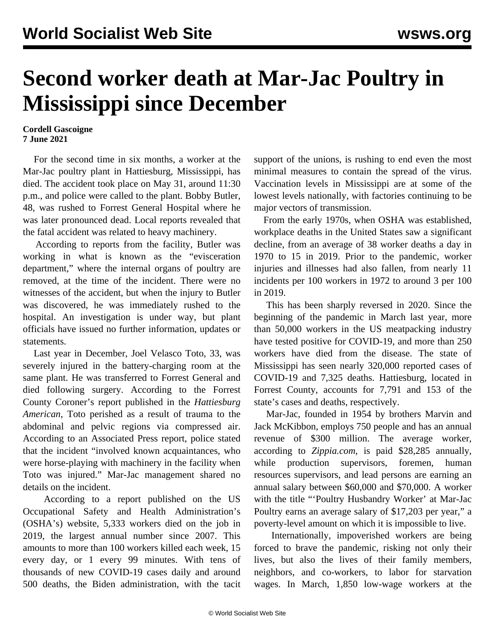## **Second worker death at Mar-Jac Poultry in Mississippi since December**

## **Cordell Gascoigne 7 June 2021**

 For the second time in six months, a worker at the Mar-Jac poultry plant in Hattiesburg, Mississippi, has died. The accident took place on May 31, around 11:30 p.m., and police were called to the plant. Bobby Butler, 48, was rushed to Forrest General Hospital where he was later pronounced dead. Local reports revealed that the fatal accident was related to heavy machinery.

 According to reports from the facility, Butler was working in what is known as the "evisceration department," where the internal organs of poultry are removed, at the time of the incident. There were no witnesses of the accident, but when the injury to Butler was discovered, he was immediately rushed to the hospital. An investigation is under way, but plant officials have issued no further information, updates or statements.

 Last year in December, Joel Velasco Toto, 33, was severely injured in the battery-charging room at the same plant. He was transferred to Forrest General and died following surgery. According to the Forrest County Coroner's report published in the *Hattiesburg American*, Toto perished as a result of trauma to the abdominal and pelvic regions via compressed air. According to an Associated Press report, police stated that the incident "involved known acquaintances, who were horse-playing with machinery in the facility when Toto was injured." Mar-Jac management shared no details on the incident.

 According to a report published on the US Occupational Safety and Health Administration's (OSHA's) website, 5,333 workers died on the job in 2019, the largest annual number since 2007. This amounts to more than 100 workers killed each week, 15 every day, or 1 every 99 minutes. With tens of thousands of new COVID-19 cases daily and around 500 deaths, the Biden administration, with the tacit support of the unions, is rushing to end even the most minimal measures to contain the spread of the virus. Vaccination levels in Mississippi are at some of the lowest levels nationally, with factories continuing to be major vectors of transmission.

 From the early 1970s, when OSHA was established, workplace deaths in the United States saw a significant decline, from an average of 38 worker deaths a day in 1970 to 15 in 2019. Prior to the pandemic, worker injuries and illnesses had also fallen, from nearly 11 incidents per 100 workers in 1972 to around 3 per 100 in 2019.

 This has been sharply reversed in 2020. Since the beginning of the pandemic in March last year, more than 50,000 workers in the US meatpacking industry have tested positive for COVID-19, and more than 250 workers have died from the disease. The state of Mississippi has seen nearly 320,000 reported cases of COVID-19 and 7,325 deaths. Hattiesburg, located in Forrest County, accounts for 7,791 and 153 of the state's cases and deaths, respectively.

 Mar-Jac, founded in 1954 by brothers Marvin and Jack McKibbon, employs 750 people and has an annual revenue of \$300 million. The average worker, according to *Zippia.com*, is paid \$28,285 annually, while production supervisors, foremen, human resources supervisors, and lead persons are earning an annual salary between \$60,000 and \$70,000. A worker with the title "'Poultry Husbandry Worker' at Mar-Jac Poultry earns an average salary of \$17,203 per year," a poverty-level amount on which it is impossible to live.

 Internationally, impoverished workers are being forced to brave the pandemic, risking not only their lives, but also the lives of their family members, neighbors, and co-workers, to labor for starvation wages. In March, 1,850 low-wage workers at the